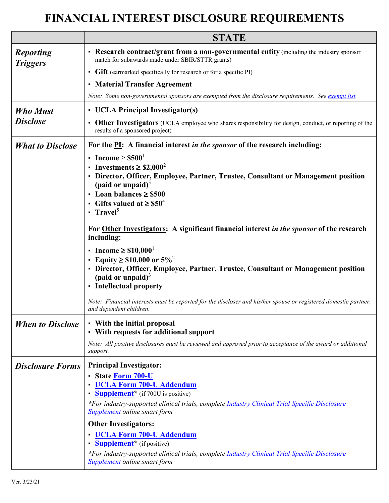## **FINANCIAL INTEREST DISCLOSURE REQUIREMENTS**

|                                     | <b>STATE</b>                                                                                                                                                                                                                                                                                                                                                                                                                                                                                                                                             |
|-------------------------------------|----------------------------------------------------------------------------------------------------------------------------------------------------------------------------------------------------------------------------------------------------------------------------------------------------------------------------------------------------------------------------------------------------------------------------------------------------------------------------------------------------------------------------------------------------------|
| <b>Reporting</b><br><b>Triggers</b> | • Research contract/grant from a non-governmental entity (including the industry sponsor<br>match for subawards made under SBIR/STTR grants)                                                                                                                                                                                                                                                                                                                                                                                                             |
|                                     | • Gift (earmarked specifically for research or for a specific PI)                                                                                                                                                                                                                                                                                                                                                                                                                                                                                        |
|                                     | • Material Transfer Agreement                                                                                                                                                                                                                                                                                                                                                                                                                                                                                                                            |
|                                     | Note: Some non-governmental sponsors are exempted from the disclosure requirements. See exempt list.                                                                                                                                                                                                                                                                                                                                                                                                                                                     |
| <b>Who Must</b>                     | • UCLA Principal Investigator(s)                                                                                                                                                                                                                                                                                                                                                                                                                                                                                                                         |
| <b>Disclose</b>                     | • Other Investigators (UCLA employee who shares responsibility for design, conduct, or reporting of the<br>results of a sponsored project)                                                                                                                                                                                                                                                                                                                                                                                                               |
| <b>What to Disclose</b>             | For the PI: A financial interest in the sponsor of the research including:                                                                                                                                                                                                                                                                                                                                                                                                                                                                               |
|                                     | • Income $\geq$ \$500 <sup>1</sup><br>Investments $\geq$ \$2,000 <sup>2</sup><br>• Director, Officer, Employee, Partner, Trustee, Consultant or Management position<br>(paid or unpaid) $3$<br>• Loan balances $\geq$ \$500<br>Gifts valued at $\geq$ \$50 <sup>4</sup><br>- Travel <sup>5</sup><br>For Other Investigators: A significant financial interest in the sponsor of the research<br>including:                                                                                                                                               |
|                                     | • Income $\geq $10,000^1$<br>• Equity $\geq$ \$10,000 or 5% <sup>2</sup><br>• Director, Officer, Employee, Partner, Trustee, Consultant or Management position<br>(paid or unpaid) $3$<br>• Intellectual property<br>Note: Financial interests must be reported for the discloser and his/her spouse or registered domestic partner,<br>and dependent children.                                                                                                                                                                                          |
| <b>When to Disclose</b>             | • With the initial proposal                                                                                                                                                                                                                                                                                                                                                                                                                                                                                                                              |
|                                     | • With requests for additional support                                                                                                                                                                                                                                                                                                                                                                                                                                                                                                                   |
|                                     | Note: All positive disclosures must be reviewed and approved prior to acceptance of the award or additional<br>support.                                                                                                                                                                                                                                                                                                                                                                                                                                  |
| <b>Disclosure Forms</b>             | <b>Principal Investigator:</b><br>• State Form 700-U<br><b>UCLA Form 700-U Addendum</b><br><b>Supplement</b> <sup>*</sup> (if 700U is positive)<br>*For industry-supported clinical trials, complete Industry Clinical Trial Specific Disclosure<br><b>Supplement</b> online smart form<br><b>Other Investigators:</b><br><b>UCLA Form 700-U Addendum</b><br><b>Supplement</b> <sup>*</sup> (if positive)<br>*For industry-supported clinical trials, complete <i>Industry Clinical Trial Specific Disclosure</i><br><b>Supplement</b> online smart form |